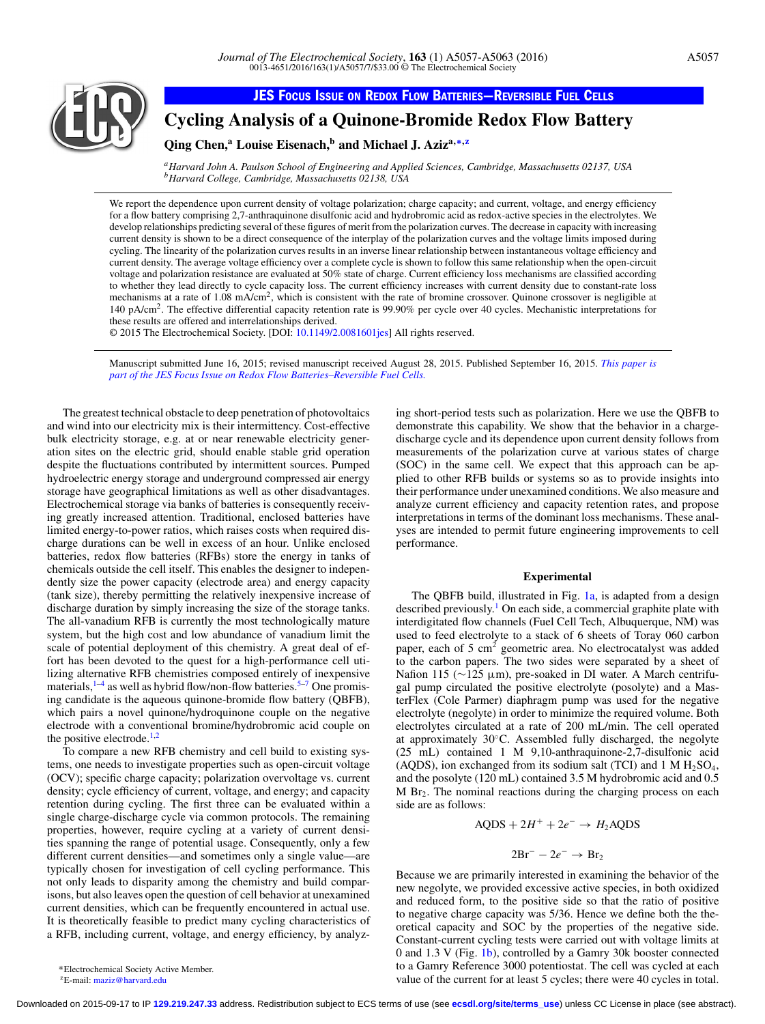

**JES FOCUS ISSUE ON REDOX FLOW [BATTERIES—REVERSIBLE](http://jes.ecsdl.org/content/163/1.toc) FUEL CELLS**

**Cycling Analysis of a Quinone-Bromide Redox Flow Battery**

# **Qing Chen,<sup>a</sup> Louise Eisenach,b and Michael J. Aziza,[∗](#page-0-0)[,z](#page-0-1)**

*aHarvard John A. Paulson School of Engineering and Applied Sciences, Cambridge, Massachusetts 02137, USA bHarvard College, Cambridge, Massachusetts 02138, USA*

We report the dependence upon current density of voltage polarization; charge capacity; and current, voltage, and energy efficiency for a flow battery comprising 2,7-anthraquinone disulfonic acid and hydrobromic acid as redox-active species in the electrolytes. We develop relationships predicting several of these figures of merit from the polarization curves. The decrease in capacity with increasing current density is shown to be a direct consequence of the interplay of the polarization curves and the voltage limits imposed during cycling. The linearity of the polarization curves results in an inverse linear relationship between instantaneous voltage efficiency and current density. The average voltage efficiency over a complete cycle is shown to follow this same relationship when the open-circuit voltage and polarization resistance are evaluated at 50% state of charge. Current efficiency loss mechanisms are classified according to whether they lead directly to cycle capacity loss. The current efficiency increases with current density due to constant-rate loss mechanisms at a rate of  $1.08 \text{ mA/cm}^2$ , which is consistent with the rate of bromine crossover. Quinone crossover is negligible at 140 pA/cm2. The effective differential capacity retention rate is 99.90% per cycle over 40 cycles. Mechanistic interpretations for these results are offered and interrelationships derived.

© 2015 The Electrochemical Society. [DOI: [10.1149/2.0081601jes\]](http://dx.doi.org/10.1149/2.0081601jes) All rights reserved.

Manuscript submitted June 16, 2015; revised manuscript received August 28, 2015. Published September 16, 2015. *[This paper is](http://jes.ecsdl.org/content/163/1.toc) [part of the JES Focus Issue on Redox Flow Batteries–Reversible Fuel Cells.](http://jes.ecsdl.org/content/163/1.toc)*

The greatest technical obstacle to deep penetration of photovoltaics and wind into our electricity mix is their intermittency. Cost-effective bulk electricity storage, e.g. at or near renewable electricity generation sites on the electric grid, should enable stable grid operation despite the fluctuations contributed by intermittent sources. Pumped hydroelectric energy storage and underground compressed air energy storage have geographical limitations as well as other disadvantages. Electrochemical storage via banks of batteries is consequently receiving greatly increased attention. Traditional, enclosed batteries have limited energy-to-power ratios, which raises costs when required discharge durations can be well in excess of an hour. Unlike enclosed batteries, redox flow batteries (RFBs) store the energy in tanks of chemicals outside the cell itself. This enables the designer to independently size the power capacity (electrode area) and energy capacity (tank size), thereby permitting the relatively inexpensive increase of discharge duration by simply increasing the size of the storage tanks. The all-vanadium RFB is currently the most technologically mature system, but the high cost and low abundance of vanadium limit the scale of potential deployment of this chemistry. A great deal of effort has been devoted to the quest for a high-performance cell utilizing alternative RFB chemistries composed entirely of inexpensive materials, $1-4$  as well as hybrid flow/non-flow batteries.<sup>5[–7](#page-6-3)</sup> One promising candidate is the aqueous quinone-bromide flow battery (QBFB), which pairs a novel quinone/hydroquinone couple on the negative electrode with a conventional bromine/hydrobromic acid couple on the positive electrode. $1,2$  $1,2$ 

To compare a new RFB chemistry and cell build to existing systems, one needs to investigate properties such as open-circuit voltage (OCV); specific charge capacity; polarization overvoltage vs. current density; cycle efficiency of current, voltage, and energy; and capacity retention during cycling. The first three can be evaluated within a single charge-discharge cycle via common protocols. The remaining properties, however, require cycling at a variety of current densities spanning the range of potential usage. Consequently, only a few different current densities—and sometimes only a single value—are typically chosen for investigation of cell cycling performance. This not only leads to disparity among the chemistry and build comparisons, but also leaves open the question of cell behavior at unexamined current densities, which can be frequently encountered in actual use. It is theoretically feasible to predict many cycling characteristics of a RFB, including current, voltage, and energy efficiency, by analyzing short-period tests such as polarization. Here we use the QBFB to demonstrate this capability. We show that the behavior in a chargedischarge cycle and its dependence upon current density follows from measurements of the polarization curve at various states of charge (SOC) in the same cell. We expect that this approach can be applied to other RFB builds or systems so as to provide insights into their performance under unexamined conditions. We also measure and analyze current efficiency and capacity retention rates, and propose interpretations in terms of the dominant loss mechanisms. These analyses are intended to permit future engineering improvements to cell performance.

### **Experimental**

The QBFB build, illustrated in Fig. [1a,](#page-1-0) is adapted from a design described previously.<sup>1</sup> On each side, a commercial graphite plate with interdigitated flow channels (Fuel Cell Tech, Albuquerque, NM) was used to feed electrolyte to a stack of 6 sheets of Toray 060 carbon paper, each of 5 cm2 geometric area. No electrocatalyst was added to the carbon papers. The two sides were separated by a sheet of Nafion 115 (~125 μm), pre-soaked in DI water. A March centrifugal pump circulated the positive electrolyte (posolyte) and a MasterFlex (Cole Parmer) diaphragm pump was used for the negative electrolyte (negolyte) in order to minimize the required volume. Both electrolytes circulated at a rate of 200 mL/min. The cell operated at approximately 30◦C. Assembled fully discharged, the negolyte (25 mL) contained 1 M 9,10-anthraquinone-2,7-disulfonic acid (AQDS), ion exchanged from its sodium salt (TCI) and  $1 M H<sub>2</sub>SO<sub>4</sub>$ , and the posolyte (120 mL) contained 3.5 M hydrobromic acid and 0.5 M Br2. The nominal reactions during the charging process on each side are as follows:

$$
AQDS + 2H^+ + 2e^- \rightarrow H_2AQDS
$$

$$
2Br^--2e^-\rightarrow Br_2
$$

Because we are primarily interested in examining the behavior of the new negolyte, we provided excessive active species, in both oxidized and reduced form, to the positive side so that the ratio of positive to negative charge capacity was 5/36. Hence we define both the theoretical capacity and SOC by the properties of the negative side. Constant-current cycling tests were carried out with voltage limits at 0 and 1.3 V (Fig. [1b\)](#page-1-0), controlled by a Gamry 30k booster connected to a Gamry Reference 3000 potentiostat. The cell was cycled at each value of the current for at least 5 cycles; there were 40 cycles in total.

<span id="page-0-1"></span><span id="page-0-0"></span>∗Electrochemical Society Active Member. zE-mail: [maziz@harvard.edu](mailto:maziz@harvard.edu)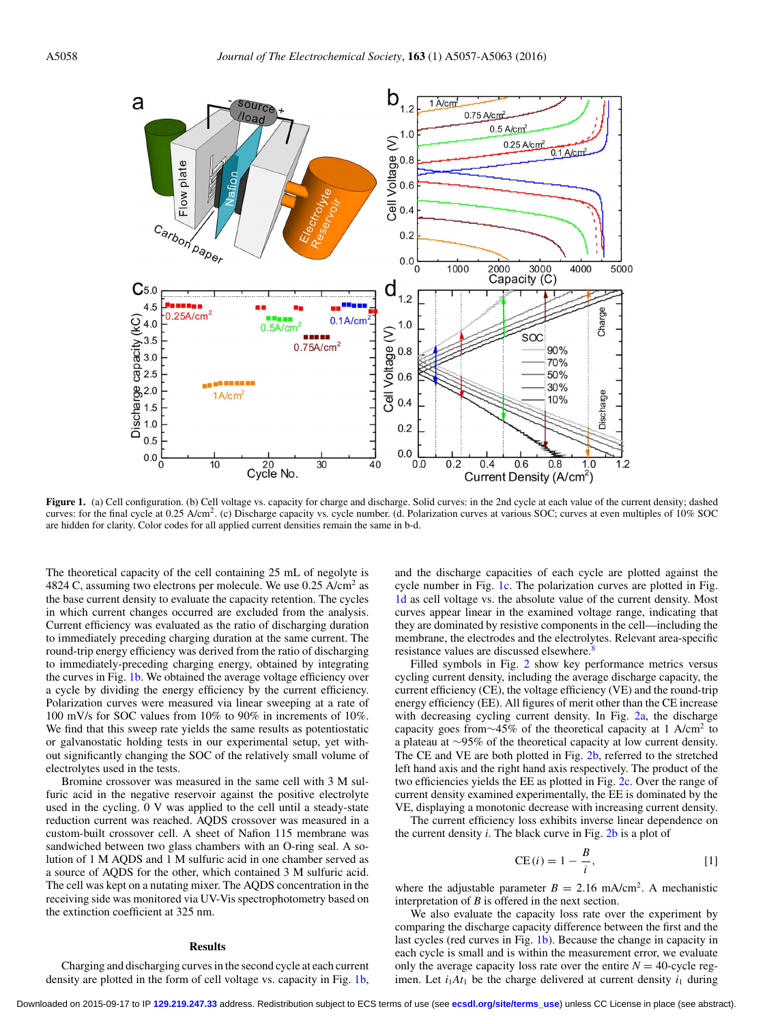<span id="page-1-0"></span>

Figure 1. (a) Cell configuration. (b) Cell voltage vs. capacity for charge and discharge. Solid curves: in the 2nd cycle at each value of the current density; dashed curves: for the final cycle at 0.25 A/cm<sup>2</sup>. (c) Discharge capacity vs. cycle number. (d. Polarization curves at various SOC; curves at even multiples of 10% SOC are hidden for clarity. Color codes for all applied current densities remain the same in b-d.

The theoretical capacity of the cell containing 25 mL of negolyte is 4824 C, assuming two electrons per molecule. We use  $0.25$  A/cm<sup>2</sup> as the base current density to evaluate the capacity retention. The cycles in which current changes occurred are excluded from the analysis. Current efficiency was evaluated as the ratio of discharging duration to immediately preceding charging duration at the same current. The round-trip energy efficiency was derived from the ratio of discharging to immediately-preceding charging energy, obtained by integrating the curves in Fig. [1b.](#page-1-0) We obtained the average voltage efficiency over a cycle by dividing the energy efficiency by the current efficiency. Polarization curves were measured via linear sweeping at a rate of 100 mV/s for SOC values from 10% to 90% in increments of 10%. We find that this sweep rate yields the same results as potentiostatic or galvanostatic holding tests in our experimental setup, yet without significantly changing the SOC of the relatively small volume of electrolytes used in the tests.

Bromine crossover was measured in the same cell with 3 M sulfuric acid in the negative reservoir against the positive electrolyte used in the cycling. 0 V was applied to the cell until a steady-state reduction current was reached. AQDS crossover was measured in a custom-built crossover cell. A sheet of Nafion 115 membrane was sandwiched between two glass chambers with an O-ring seal. A solution of 1 M AQDS and 1 M sulfuric acid in one chamber served as a source of AQDS for the other, which contained 3 M sulfuric acid. The cell was kept on a nutating mixer. The AQDS concentration in the receiving side was monitored via UV-Vis spectrophotometry based on the extinction coefficient at 325 nm.

## **Results**

Charging and discharging curves in the second cycle at each current density are plotted in the form of cell voltage vs. capacity in Fig. [1b,](#page-1-0) and the discharge capacities of each cycle are plotted against the cycle number in Fig. [1c.](#page-1-0) The polarization curves are plotted in Fig. [1d](#page-1-0) as cell voltage vs. the absolute value of the current density. Most curves appear linear in the examined voltage range, indicating that they are dominated by resistive components in the cell—including the membrane, the electrodes and the electrolytes. Relevant area-specific resistance values are discussed elsewhere.<sup>8</sup>

Filled symbols in Fig. [2](#page-2-0) show key performance metrics versus cycling current density, including the average discharge capacity, the current efficiency (CE), the voltage efficiency (VE) and the round-trip energy efficiency (EE). All figures of merit other than the CE increase with decreasing cycling current density. In Fig. [2a,](#page-2-0) the discharge capacity goes from∼45% of the theoretical capacity at 1 A/cm<sup>2</sup> to a plateau at ∼95% of the theoretical capacity at low current density. The CE and VE are both plotted in Fig. [2b,](#page-2-0) referred to the stretched left hand axis and the right hand axis respectively. The product of the two efficiencies yields the EE as plotted in Fig. [2c.](#page-2-0) Over the range of current density examined experimentally, the EE is dominated by the VE, displaying a monotonic decrease with increasing current density.

The current efficiency loss exhibits inverse linear dependence on the current density *i*. The black curve in Fig. [2b](#page-2-0) is a plot of

<span id="page-1-1"></span>CE 
$$
(i) = 1 - \frac{B}{i}
$$
, [1]

where the adjustable parameter  $B = 2.16$  mA/cm<sup>2</sup>. A mechanistic interpretation of *B* is offered in the next section.

We also evaluate the capacity loss rate over the experiment by comparing the discharge capacity difference between the first and the last cycles (red curves in Fig. [1b\)](#page-1-0). Because the change in capacity in each cycle is small and is within the measurement error, we evaluate only the average capacity loss rate over the entire  $N = 40$ -cycle regimen. Let  $i_1At_1$  be the charge delivered at current density  $i_1$  during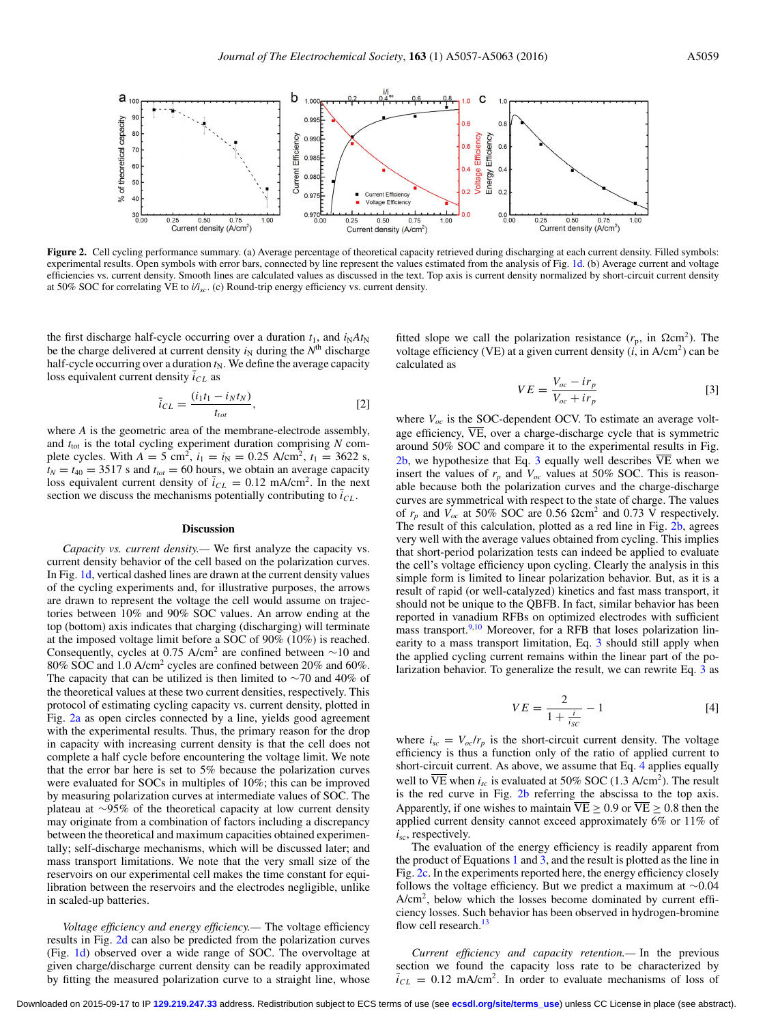<span id="page-2-0"></span>

Figure 2. Cell cycling performance summary. (a) Average percentage of theoretical capacity retrieved during discharging at each current density. Filled symbols: experimental results. Open symbols with error bars, connected by line represent the values estimated from the analysis of Fig. [1d.](#page-1-0) (b) Average current and voltage efficiencies vs. current density. Smooth lines are calculated values as discussed in the text. Top axis is current density normalized by short-circuit current density at 50% SOC for correlating VE to *i/isc*. (c) Round-trip energy efficiency vs. current density.

the first discharge half-cycle occurring over a duration  $t_1$ , and  $i_N A t_N$ be the charge delivered at current density  $i_N$  during the  $N<sup>th</sup>$  discharge half-cycle occurring over a duration  $t_N$ . We define the average capacity loss equivalent current density  $i_{CL}$  as

<span id="page-2-3"></span>
$$
\bar{i}_{CL} = \frac{(i_1 t_1 - i_N t_N)}{t_{tot}},
$$
\n[2]

where *A* is the geometric area of the membrane-electrode assembly, and  $t_{\text{tot}}$  is the total cycling experiment duration comprising  $N$  complete cycles. With  $A = 5$  cm<sup>2</sup>,  $i_1 = i_N = 0.25$  A/cm<sup>2</sup>,  $t_1 = 3622$  s,  $t_N = t_{40} = 3517$  s and  $t_{tot} = 60$  hours, we obtain an average capacity loss equivalent current density of  $\bar{i}_{CL} = 0.12$  mA/cm<sup>2</sup>. In the next section we discuss the mechanisms potentially contributing to  $\bar{i}_{CL}$ .

#### **Discussion**

*Capacity vs. current density.—* We first analyze the capacity vs. current density behavior of the cell based on the polarization curves. In Fig. [1d,](#page-1-0) vertical dashed lines are drawn at the current density values of the cycling experiments and, for illustrative purposes, the arrows are drawn to represent the voltage the cell would assume on trajectories between 10% and 90% SOC values. An arrow ending at the top (bottom) axis indicates that charging (discharging) will terminate at the imposed voltage limit before a SOC of 90% (10%) is reached. Consequently, cycles at 0.75 A/cm<sup>2</sup> are confined between  $\sim$ 10 and 80% SOC and 1.0 A/cm2 cycles are confined between 20% and 60%. The capacity that can be utilized is then limited to ∼70 and 40% of the theoretical values at these two current densities, respectively. This protocol of estimating cycling capacity vs. current density, plotted in Fig. [2a](#page-2-0) as open circles connected by a line, yields good agreement with the experimental results. Thus, the primary reason for the drop in capacity with increasing current density is that the cell does not complete a half cycle before encountering the voltage limit. We note that the error bar here is set to 5% because the polarization curves were evaluated for SOCs in multiples of 10%; this can be improved by measuring polarization curves at intermediate values of SOC. The plateau at ∼95% of the theoretical capacity at low current density may originate from a combination of factors including a discrepancy between the theoretical and maximum capacities obtained experimentally; self-discharge mechanisms, which will be discussed later; and mass transport limitations. We note that the very small size of the reservoirs on our experimental cell makes the time constant for equilibration between the reservoirs and the electrodes negligible, unlike in scaled-up batteries.

*Voltage efficiency and energy efficiency.—* The voltage efficiency results in Fig. [2d](#page-2-0) can also be predicted from the polarization curves (Fig. [1d\)](#page-1-0) observed over a wide range of SOC. The overvoltage at given charge/discharge current density can be readily approximated by fitting the measured polarization curve to a straight line, whose

fitted slope we call the polarization resistance  $(r_p, \text{ in } \Omega \text{cm}^2)$ . The voltage efficiency (VE) at a given current density  $(i, in A/cm<sup>2</sup>)$  can be calculated as

<span id="page-2-1"></span>
$$
VE = \frac{V_{oc} - ir_p}{V_{oc} + ir_p} \tag{3}
$$

where  $V_{oc}$  is the SOC-dependent OCV. To estimate an average voltage efficiency,  $\overline{VE}$ , over a charge-discharge cycle that is symmetric around 50% SOC and compare it to the experimental results in Fig. [2b,](#page-2-0) we hypothesize that Eq. [3](#page-2-1) equally well describes  $\overline{VE}$  when we insert the values of  $r_p$  and  $V_{oc}$  values at 50% SOC. This is reasonable because both the polarization curves and the charge-discharge curves are symmetrical with respect to the state of charge. The values of  $r_p$  and  $V_{oc}$  at 50% SOC are 0.56  $\Omega$ cm<sup>2</sup> and 0.73 V respectively. The result of this calculation, plotted as a red line in Fig. [2b,](#page-2-0) agrees very well with the average values obtained from cycling. This implies that short-period polarization tests can indeed be applied to evaluate the cell's voltage efficiency upon cycling. Clearly the analysis in this simple form is limited to linear polarization behavior. But, as it is a result of rapid (or well-catalyzed) kinetics and fast mass transport, it should not be unique to the QBFB. In fact, similar behavior has been reported in vanadium RFBs on optimized electrodes with sufficient mass transport.<sup>9,[10](#page-6-7)</sup> Moreover, for a RFB that loses polarization linearity to a mass transport limitation, Eq. [3](#page-2-1) should still apply when the applied cycling current remains within the linear part of the polarization behavior. To generalize the result, we can rewrite Eq. [3](#page-2-1) as

$$
VE = \frac{2}{1 + \frac{i}{i_{SC}}} - 1
$$
 [4]

<span id="page-2-2"></span>where  $i_{sc} = V_{oc}/r_p$  is the short-circuit current density. The voltage efficiency is thus a function only of the ratio of applied current to short-circuit current. As above, we assume that Eq. [4](#page-2-2) applies equally well to  $\overline{VE}$  when  $i_{sc}$  is evaluated at 50% SOC (1.3 A/cm<sup>2</sup>). The result is the red curve in Fig. [2b](#page-2-0) referring the abscissa to the top axis. Apparently, if one wishes to maintain  $\overline{VE} > 0.9$  or  $\overline{VE} > 0.8$  then the applied current density cannot exceed approximately 6% or 11% of *i*sc, respectively.

The evaluation of the energy efficiency is readily apparent from the product of Equations [1](#page-1-1) and  $3$ , and the result is plotted as the line in Fig. [2c.](#page-2-0) In the experiments reported here, the energy efficiency closely follows the voltage efficiency. But we predict a maximum at ∼0.04  $A/cm<sup>2</sup>$ , below which the losses become dominated by current efficiency losses. Such behavior has been observed in hydrogen-bromine flow cell research.<sup>13</sup>

*Current efficiency and capacity retention.—* In the previous section we found the capacity loss rate to be characterized by  $\overline{i}_{CL} = 0.12$  mA/cm<sup>2</sup>. In order to evaluate mechanisms of loss of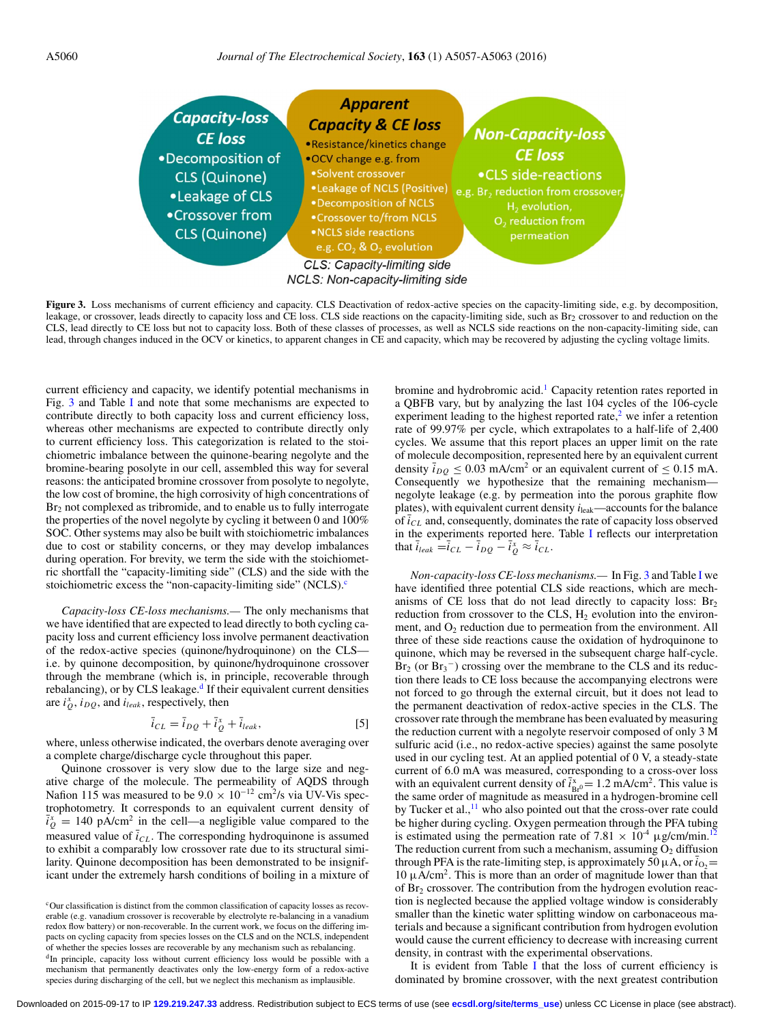<span id="page-3-0"></span>

**Figure 3.** Loss mechanisms of current efficiency and capacity. CLS Deactivation of redox-active species on the capacity-limiting side, e.g. by decomposition, leakage, or crossover, leads directly to capacity loss and CE loss. CLS side reactions on the capacity-limiting side, such as Br<sub>2</sub> crossover to and reduction on the CLS, lead directly to CE loss but not to capacity loss. Both of these classes of processes, as well as NCLS side reactions on the non-capacity-limiting side, can lead, through changes induced in the OCV or kinetics, to apparent changes in CE and capacity, which may be recovered by adjusting the cycling voltage limits.

current efficiency and capacity, we identify potential mechanisms in Fig. [3](#page-3-0) and Table [I](#page-4-0) and note that some mechanisms are expected to contribute directly to both capacity loss and current efficiency loss, whereas other mechanisms are expected to contribute directly only to current efficiency loss. This categorization is related to the stoichiometric imbalance between the quinone-bearing negolyte and the bromine-bearing posolyte in our cell, assembled this way for several reasons: the anticipated bromine crossover from posolyte to negolyte, the low cost of bromine, the high corrosivity of high concentrations of  $Br<sub>2</sub>$  not complexed as tribromide, and to enable us to fully interrogate the properties of the novel negolyte by cycling it between 0 and 100% SOC. Other systems may also be built with stoichiometric imbalances due to cost or stability concerns, or they may develop imbalances during operation. For brevity, we term the side with the stoichiometric shortfall the "capacity-limiting side" (CLS) and the side with the stoichiometric excess the "non-capacity-limiting side" (NCLS).<sup>c</sup>

*Capacity-loss CE-loss mechanisms.—* The only mechanisms that we have identified that are expected to lead directly to both cycling capacity loss and current efficiency loss involve permanent deactivation of the redox-active species (quinone/hydroquinone) on the CLS i.e. by quinone decomposition, by quinone/hydroquinone crossover through the membrane (which is, in principle, recoverable through rebalancing), or by CLS leakage. $d$  If their equivalent current densities are  $i_Q^x$ ,  $i_{DQ}$ , and  $i_{leak}$ , respectively, then

$$
\overline{i}_{CL} = \overline{i}_{DQ} + \overline{i}_{Q}^x + \overline{i}_{leak},\tag{5}
$$

where, unless otherwise indicated, the overbars denote averaging over a complete charge/discharge cycle throughout this paper.

Quinone crossover is very slow due to the large size and negative charge of the molecule. The permeability of AQDS through Nafion 115 was measured to be  $9.0 \times 10^{-12}$  cm<sup>2</sup>/s via UV-Vis spectrophotometry. It corresponds to an equivalent current density of  $\overline{i}_Q^x$  = 140 pA/cm<sup>2</sup> in the cell—a negligible value compared to the measured value of  $\bar{i}_{CL}$ . The corresponding hydroquinone is assumed to exhibit a comparably low crossover rate due to its structural similarity. Quinone decomposition has been demonstrated to be insignificant under the extremely harsh conditions of boiling in a mixture of

<span id="page-3-2"></span><span id="page-3-1"></span><sup>c</sup>Our classification is distinct from the common classification of capacity losses as recoverable (e.g. vanadium crossover is recoverable by electrolyte re-balancing in a vanadium redox flow battery) or non-recoverable. In the current work, we focus on the differing impacts on cycling capacity from species losses on the CLS and on the NCLS, independent of whether the species losses are recoverable by any mechanism such as rebalancing. <sup>d</sup>In principle, capacity loss without current efficiency loss would be possible with a mechanism that permanently deactivates only the low-energy form of a redox-active species during discharging of the cell, but we neglect this mechanism as implausible.

bromine and hydrobromic acid.<sup>[1](#page-6-0)</sup> Capacity retention rates reported in a QBFB vary, but by analyzing the last 104 cycles of the 106-cycle experiment leading to the highest reported rate, $\frac{2}{3}$  $\frac{2}{3}$  $\frac{2}{3}$  we infer a retention rate of 99.97% per cycle, which extrapolates to a half-life of 2,400 cycles. We assume that this report places an upper limit on the rate of molecule decomposition, represented here by an equivalent current density  $\bar{i}_{DQ} \le 0.03$  mA/cm<sup>2</sup> or an equivalent current of  $\le 0.15$  mA. Consequently we hypothesize that the remaining mechanism negolyte leakage (e.g. by permeation into the porous graphite flow plates), with equivalent current density  $i_{\text{leak}}$ —accounts for the balance of  $i_{CL}$  and, consequently, dominates the rate of capacity loss observed in the experiments reported here. Table [I](#page-4-0) reflects our interpretation that  $\overline{i}_{leak} = \overline{i}_{CL} - \overline{i}_{DQ} - \overline{i}_{Q}^{\times} \approx \overline{i}_{CL}$ .

*Non-capacity-loss CE-loss mechanisms.—* In Fig. [3](#page-3-0) and Table [I](#page-4-0) we have identified three potential CLS side reactions, which are mechanisms of CE loss that do not lead directly to capacity loss:  $Br<sub>2</sub>$ reduction from crossover to the CLS,  $H_2$  evolution into the environment, and  $O_2$  reduction due to permeation from the environment. All three of these side reactions cause the oxidation of hydroquinone to quinone, which may be reversed in the subsequent charge half-cycle.  $Br<sub>2</sub>$  (or  $Br<sub>3</sub><sup>-</sup>$ ) crossing over the membrane to the CLS and its reduction there leads to CE loss because the accompanying electrons were not forced to go through the external circuit, but it does not lead to the permanent deactivation of redox-active species in the CLS. The crossover rate through the membrane has been evaluated by measuring the reduction current with a negolyte reservoir composed of only 3 M sulfuric acid (i.e., no redox-active species) against the same posolyte used in our cycling test. At an applied potential of 0 V, a steady-state current of 6.0 mA was measured, corresponding to a cross-over loss with an equivalent current density of  $\bar{i}_{Br0}^x = 1.2$  mA/cm<sup>2</sup>. This value is the same order of magnitude as measured in a hydrogen-bromine cell by Tucker et al.,<sup>11</sup> who also pointed out that the cross-over rate could be higher during cycling. Oxygen permeation through the PFA tubing is estimated using the permeation rate of 7.81  $\times$  10<sup>-4</sup>  $\mu$ g/cm/min.<sup>[12](#page-6-10)</sup> The reduction current from such a mechanism, assuming  $O_2$  diffusion through PFA is the rate-limiting step, is approximately 50  $\mu$ A, or  $i_{0}$  =  $10 \mu A/cm<sup>2</sup>$ . This is more than an order of magnitude lower than that of Br2 crossover. The contribution from the hydrogen evolution reaction is neglected because the applied voltage window is considerably smaller than the kinetic water splitting window on carbonaceous materials and because a significant contribution from hydrogen evolution would cause the current efficiency to decrease with increasing current density, in contrast with the experimental observations.

It is evident from Table [I](#page-4-0) that the loss of current efficiency is dominated by bromine crossover, with the next greatest contribution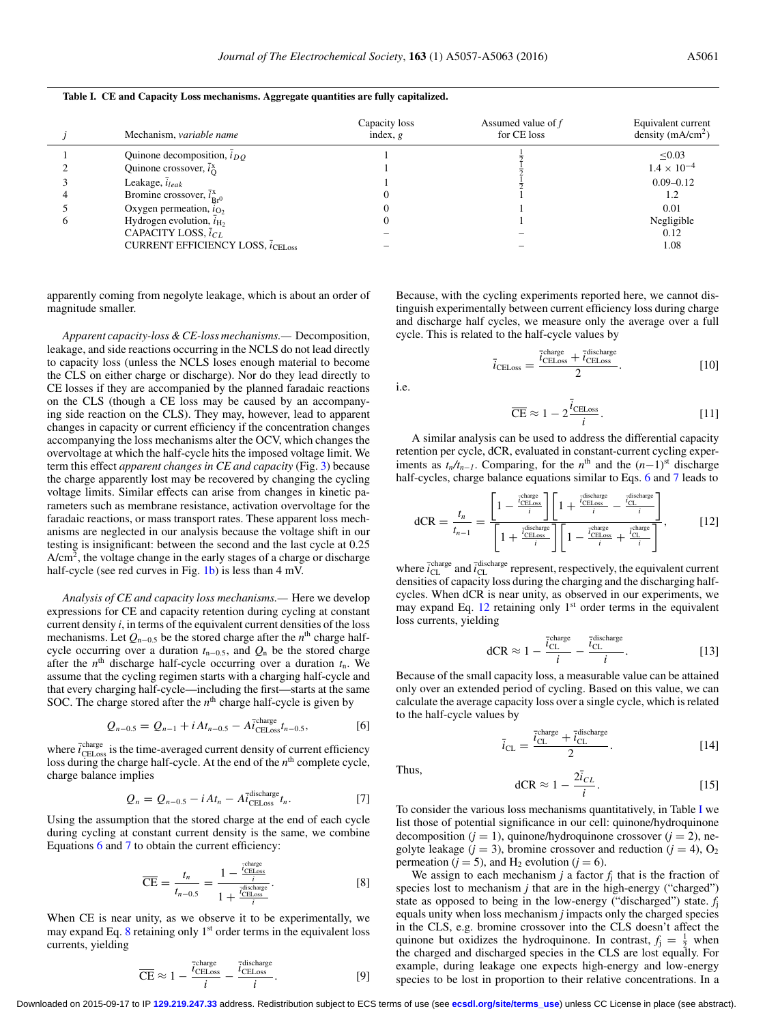<span id="page-4-0"></span>**Table I. CE and Capacity Loss mechanisms. Aggregate quantities are fully capitalized.**

|  | Mechanism, variable name                                              | Capacity loss<br>index, $g$ | Assumed value of $f$<br>for CE loss | Equivalent current<br>density $(mA/cm2)$ |
|--|-----------------------------------------------------------------------|-----------------------------|-------------------------------------|------------------------------------------|
|  | Quinone decomposition, $\overline{i}_{DO}$                            |                             |                                     | $\leq 0.03$                              |
|  | Quinone crossover, $\bar{i}_{\Omega}^{x}$                             |                             |                                     | $1.4 \times 10^{-4}$                     |
|  | Leakage, $\bar{i}_{leak}$                                             |                             |                                     | $0.09 - 0.12$                            |
|  | Bromine crossover, $\bar{i}_{\text{Br}0}^x$                           |                             |                                     | 1.2                                      |
|  | Oxygen permeation, $i_{\text{O}_2}$                                   |                             |                                     | 0.01                                     |
|  | Hydrogen evolution, $\overline{i}_{\text{H}_2}$                       |                             |                                     | Negligible                               |
|  | CAPACITY LOSS, $\bar{i}_{CL}$                                         |                             |                                     | 0.12                                     |
|  | <b>CURRENT EFFICIENCY LOSS, <math>\bar{i}_{\text{CEI}}</math> oss</b> |                             |                                     | 1.08                                     |

apparently coming from negolyte leakage, which is about an order of magnitude smaller.

*Apparent capacity-loss & CE-loss mechanisms.—* Decomposition, leakage, and side reactions occurring in the NCLS do not lead directly to capacity loss (unless the NCLS loses enough material to become the CLS on either charge or discharge). Nor do they lead directly to CE losses if they are accompanied by the planned faradaic reactions on the CLS (though a CE loss may be caused by an accompanying side reaction on the CLS). They may, however, lead to apparent changes in capacity or current efficiency if the concentration changes accompanying the loss mechanisms alter the OCV, which changes the overvoltage at which the half-cycle hits the imposed voltage limit. We term this effect *apparent changes in CE and capacity* (Fig. [3\)](#page-3-0) because the charge apparently lost may be recovered by changing the cycling voltage limits. Similar effects can arise from changes in kinetic parameters such as membrane resistance, activation overvoltage for the faradaic reactions, or mass transport rates. These apparent loss mechanisms are neglected in our analysis because the voltage shift in our testing is insignificant: between the second and the last cycle at 0.25 A/cm<sup>2</sup>, the voltage change in the early stages of a charge or discharge half-cycle (see red curves in Fig. [1b\)](#page-1-0) is less than 4 mV.

*Analysis of CE and capacity loss mechanisms.—* Here we develop expressions for CE and capacity retention during cycling at constant current density *i*, in terms of the equivalent current densities of the loss mechanisms. Let *Q*<sup>n</sup>−0.5 be the stored charge after the *n*th charge halfcycle occurring over a duration *t*<sup>n</sup>−0.5, and *Q*<sup>n</sup> be the stored charge after the  $n<sup>th</sup>$  discharge half-cycle occurring over a duration  $t<sub>n</sub>$ . We assume that the cycling regimen starts with a charging half-cycle and that every charging half-cycle—including the first—starts at the same SOC. The charge stored after the  $n<sup>th</sup>$  charge half-cycle is given by

$$
Q_{n-0.5} = Q_{n-1} + i A t_{n-0.5} - A \bar{i}^{\text{charge}}_{\text{CELoss}} t_{n-0.5},
$$
 [6]

where  $\bar{i}^{\text{charge}}_{\text{CELoss}}$  is the time-averaged current density of current efficiency loss during the charge half-cycle. At the end of the  $n<sup>th</sup>$  complete cycle, charge balance implies

<span id="page-4-2"></span>
$$
Q_n = Q_{n-0.5} - i A t_n - A \bar{i}_{\text{CELoss}}^{\text{discharge}} t_n. \tag{7}
$$

Using the assumption that the stored charge at the end of each cycle during cycling at constant current density is the same, we combine Equations [6](#page-4-1) and [7](#page-4-2) to obtain the current efficiency:

$$
\overline{\text{CE}} = \frac{t_n}{t_{n-0.5}} = \frac{1 - \frac{\overline{t}_{\text{CEness}}^{\text{charge}}}{i}}{1 + \frac{\overline{t}_{\text{CEless}}^{\text{discharge}}}{i}}.
$$
 [8]

When CE is near unity, as we observe it to be experimentally, we may expand Eq.  $8$  retaining only  $1<sup>st</sup>$  order terms in the equivalent loss currents, yielding

$$
\overline{\text{CE}} \approx 1 - \frac{\overline{i}_{\text{CELoss}}^{\text{charge}}}{i} - \frac{\overline{i}_{\text{CELoss}}^{\text{discharge}}}{i}.
$$
 [9]

Because, with the cycling experiments reported here, we cannot distinguish experimentally between current efficiency loss during charge and discharge half cycles, we measure only the average over a full cycle. This is related to the half-cycle values by

$$
\bar{i}_{\text{CELoss}} = \frac{\bar{i}_{\text{CELoss}}^{\text{charge}} + \bar{i}_{\text{CELoss}}^{\text{discharge}}}{2}.
$$
\n[10]

<span id="page-4-5"></span>i.e.

<span id="page-4-4"></span>
$$
\overline{\text{CE}} \approx 1 - 2 \frac{\overline{i}_{\text{CELoss}}}{i}.
$$
 [11]

A similar analysis can be used to address the differential capacity retention per cycle, dCR, evaluated in constant-current cycling experiments as  $t_n/t_{n-1}$ . Comparing, for the  $n^{\text{th}}$  and the  $(n-1)^{\text{st}}$  discharge half-cycles, charge balance equations similar to Eqs. [6](#page-4-1) and [7](#page-4-2) leads to

$$
dCR = \frac{t_n}{t_{n-1}} = \frac{\left[1 - \frac{\frac{\text{rclures}}{CELoss}}{i}\right] \left[1 + \frac{\frac{\text{rdscharge}}{CELoss}}{i} - \frac{\frac{\text{rdscharge}}{C_L}}{i}\right]}{\left[1 + \frac{\frac{\frac{\text{rdscharge}}{CELoss}}{i}}{i}\right] \left[1 - \frac{\frac{\text{rdscharge}}{CEloss}}{i} + \frac{\frac{\text{rdscharge}}{C_L}}{i}\right]},\tag{12}
$$

where  $\vec{i}_{\text{CL}}^{\text{charge}}$  and  $\vec{i}_{\text{CL}}^{\text{discharge}}$  represent, respectively, the equivalent current densities of capacity loss during the charging and the discharging halfcycles. When dCR is near unity, as observed in our experiments, we may expand Eq.  $12$  retaining only  $1<sup>st</sup>$  order terms in the equivalent loss currents, yielding

dCR 
$$
\approx 1 - \frac{\bar{i}_{CL}^{\text{charge}}}{i} - \frac{\bar{i}_{CL}^{\text{discharge}}}{i}
$$
. [13]

<span id="page-4-1"></span>Because of the small capacity loss, a measurable value can be attained only over an extended period of cycling. Based on this value, we can calculate the average capacity loss over a single cycle, which is related to the half-cycle values by

$$
\bar{i}_{\text{CL}} = \frac{\bar{i}_{\text{CL}}^{\text{charge}} + \bar{i}_{\text{CL}}^{\text{discharge}}}{2}.
$$
 [14]

<span id="page-4-6"></span>Thus,

$$
dCR \approx 1 - \frac{2\bar{i}_{CL}}{i}.\tag{15}
$$

To consider the various loss mechanisms quantitatively, in Table [I](#page-4-0) we list those of potential significance in our cell: quinone/hydroquinone decomposition ( $j = 1$ ), quinone/hydroquinone crossover ( $j = 2$ ), negolyte leakage ( $j = 3$ ), bromine crossover and reduction ( $j = 4$ ), O<sub>2</sub> permeation ( $j = 5$ ), and H<sub>2</sub> evolution ( $j = 6$ ).

<span id="page-4-3"></span>We assign to each mechanism  $j$  a factor  $f_i$  that is the fraction of species lost to mechanism *j* that are in the high-energy ("charged") state as opposed to being in the low-energy ("discharged") state. *f*<sup>j</sup> equals unity when loss mechanism *j* impacts only the charged species in the CLS, e.g. bromine crossover into the CLS doesn't affect the quinone but oxidizes the hydroquinone. In contrast,  $f_j = \frac{1}{2}$  when the charged and discharged species in the CLS are lost equally. For example, during leakage one expects high-energy and low-energy species to be lost in proportion to their relative concentrations. In a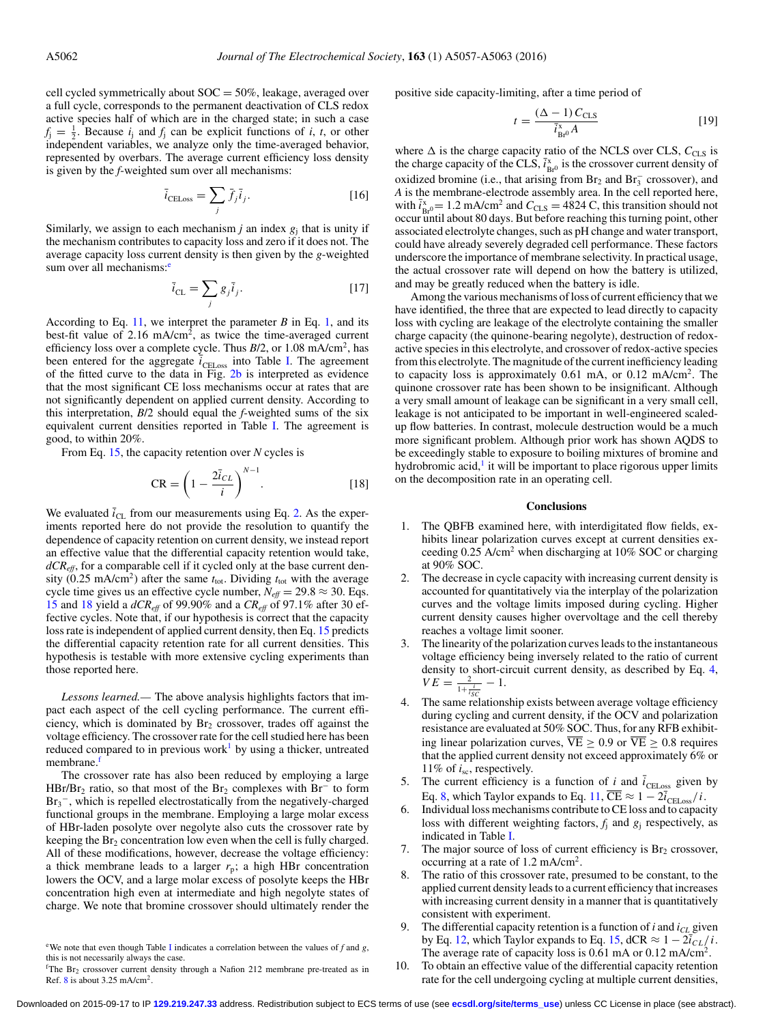cell cycled symmetrically about  $SOC = 50\%$ , leakage, averaged over a full cycle, corresponds to the permanent deactivation of CLS redox active species half of which are in the charged state; in such a case  $f_j = \frac{1}{2}$ . Because  $i_j$  and  $f_j$  can be explicit functions of *i*, *t*, or other independent variables, we analyze only the time-averaged behavior, represented by overbars. The average current efficiency loss density is given by the *f*-weighted sum over all mechanisms:

$$
\bar{i}_{\text{CELoss}} = \sum_{j} \bar{f}_{j} \bar{i}_{j}. \tag{16}
$$

Similarly, we assign to each mechanism  $j$  an index  $g_i$  that is unity if the mechanism contributes to capacity loss and zero if it does not. The average capacity loss current density is then given by the *g*-weighted sum over all mechanisms:<sup>e</sup>

$$
\bar{i}_{\text{CL}} = \sum_{j} g_j \bar{i}_j. \tag{17}
$$

According to Eq. [11,](#page-4-5) we interpret the parameter  $B$  in Eq. [1,](#page-1-1) and its best-fit value of 2.16 mA/cm<sup>2</sup>, as twice the time-averaged current efficiency loss over a complete cycle. Thus *B*/2, or 1.08 mA/cm2, has been entered for the aggregate  $\overline{i}_{\text{CELoss}}$  into Table [I.](#page-4-0) The agreement of the fitted curve to the data in Fig. [2b](#page-2-0) is interpreted as evidence that the most significant CE loss mechanisms occur at rates that are not significantly dependent on applied current density. According to this interpretation, *B*/2 should equal the *f*-weighted sums of the six equivalent current densities reported in Table [I.](#page-4-0) The agreement is good, to within 20%.

From Eq. [15,](#page-4-6) the capacity retention over *N* cycles is

$$
CR = \left(1 - \frac{2\bar{i}_{CL}}{i}\right)^{N-1}.\tag{18}
$$

We evaluated  $\bar{i}_{CL}$  from our measurements using Eq. [2.](#page-2-3) As the experiments reported here do not provide the resolution to quantify the dependence of capacity retention on current density, we instead report an effective value that the differential capacity retention would take, *dCReff*, for a comparable cell if it cycled only at the base current density (0.25 mA/cm<sup>2</sup>) after the same  $t_{\text{tot}}$ . Dividing  $t_{\text{tot}}$  with the average cycle time gives us an effective cycle number,  $N_{\text{eff}} = 29.8 \approx 30$ . Eqs. [15](#page-4-6) and [18](#page-5-1) yield a *dCReff* of 99.90% and a *CReff* of 97.1% after 30 effective cycles. Note that, if our hypothesis is correct that the capacity loss rate is independent of applied current density, then Eq. [15](#page-4-6) predicts the differential capacity retention rate for all current densities. This hypothesis is testable with more extensive cycling experiments than those reported here.

*Lessons learned.—* The above analysis highlights factors that impact each aspect of the cell cycling performance. The current efficiency, which is dominated by  $Br<sub>2</sub>$  crossover, trades off against the voltage efficiency. The crossover rate for the cell studied here has been reduced compared to in previous work<sup>1</sup> by using a thicker, untreated membrane.<sup>f</sup>

The crossover rate has also been reduced by employing a large HBr/Br<sub>2</sub> ratio, so that most of the Br<sub>2</sub> complexes with Br<sup>−</sup> to form Br<sub>3</sub><sup>-</sup>, which is repelled electrostatically from the negatively-charged functional groups in the membrane. Employing a large molar excess of HBr-laden posolyte over negolyte also cuts the crossover rate by keeping the  $Br_2$  concentration low even when the cell is fully charged. All of these modifications, however, decrease the voltage efficiency: a thick membrane leads to a larger  $r_p$ ; a high HBr concentration lowers the OCV, and a large molar excess of posolyte keeps the HBr concentration high even at intermediate and high negolyte states of charge. We note that bromine crossover should ultimately render the positive side capacity-limiting, after a time period of

$$
t = \frac{(\Delta - 1) C_{\text{CLS}}}{\bar{i}_{\text{Br}^0}^{\text{x}} A} \tag{19}
$$

where  $\Delta$  is the charge capacity ratio of the NCLS over CLS,  $C_{\text{CLS}}$  is the charge capacity of the CLS,  $\bar{i}_{Br^0}^x$  is the crossover current density of oxidized bromine (i.e., that arising from  $Br_2$  and  $Br_3^-$  crossover), and *A* is the membrane-electrode assembly area. In the cell reported here, with  $\bar{i}_{Br^0}^x = 1.2$  mA/cm<sup>2</sup> and  $C_{CLS} = 4824$  C, this transition should not occur until about 80 days. But before reaching this turning point, other associated electrolyte changes, such as pH change and water transport, could have already severely degraded cell performance. These factors underscore the importance of membrane selectivity. In practical usage, the actual crossover rate will depend on how the battery is utilized, and may be greatly reduced when the battery is idle.

Among the various mechanisms of loss of current efficiency that we have identified, the three that are expected to lead directly to capacity loss with cycling are leakage of the electrolyte containing the smaller charge capacity (the quinone-bearing negolyte), destruction of redoxactive species in this electrolyte, and crossover of redox-active species from this electrolyte. The magnitude of the current inefficiency leading to capacity loss is approximately  $0.61$  mA, or  $0.12$  mA/cm<sup>2</sup>. The quinone crossover rate has been shown to be insignificant. Although a very small amount of leakage can be significant in a very small cell, leakage is not anticipated to be important in well-engineered scaledup flow batteries. In contrast, molecule destruction would be a much more significant problem. Although prior work has shown AQDS to be exceedingly stable to exposure to boiling mixtures of bromine and hydrobromic acid, $\frac{1}{1}$  it will be important to place rigorous upper limits on the decomposition rate in an operating cell.

## **Conclusions**

- <span id="page-5-1"></span>1. The QBFB examined here, with interdigitated flow fields, exhibits linear polarization curves except at current densities exceeding 0.25 A/cm<sup>2</sup> when discharging at 10% SOC or charging at 90% SOC.
- 2. The decrease in cycle capacity with increasing current density is accounted for quantitatively via the interplay of the polarization curves and the voltage limits imposed during cycling. Higher current density causes higher overvoltage and the cell thereby reaches a voltage limit sooner.
- 3. The linearity of the polarization curves leads to the instantaneous voltage efficiency being inversely related to the ratio of current density to short-circuit current density, as described by Eq. [4,](#page-2-2)  $VE = \frac{2}{1 + \frac{i}{i_{SC}}} - 1.$
- 4. The same relationship exists between average voltage efficiency during cycling and current density, if the OCV and polarization resistance are evaluated at 50% SOC. Thus, for any RFB exhibiting linear polarization curves,  $\overline{VE} \ge 0.9$  or  $\overline{VE} \ge 0.8$  requires that the applied current density not exceed approximately 6% or 11% of *i*sc, respectively.
- 5. The current efficiency is a function of *i* and  $\bar{i}_{\text{CELoss}}$  given by Eq. [8,](#page-4-3) which Taylor expands to Eq. [11,](#page-4-5)  $\overline{\text{CE}} \approx 1 - 2\overline{i}_{\text{CELoss}}/i$ .
- Individual loss mechanisms contribute to CE loss and to capacity loss with different weighting factors, *f*<sup>j</sup> and *g*<sup>j</sup> respectively, as indicated in Table [I.](#page-4-0)
- 7. The major source of loss of current efficiency is  $Br<sub>2</sub>$  crossover, occurring at a rate of 1.2 mA/cm2.
- The ratio of this crossover rate, presumed to be constant, to the applied current density leads to a current efficiency that increases with increasing current density in a manner that is quantitatively consistent with experiment.
- 9. The differential capacity retention is a function of  $i$  and  $i_{CL}$  given by Eq. [12,](#page-4-4) which Taylor expands to Eq. [15,](#page-4-6) dCR  $\approx 1 - 2\bar{i}_{CL}/i$ . The average rate of capacity loss is 0.61 mA or 0.12 mA/cm<sup>2</sup>.
- 10. To obtain an effective value of the differential capacity retention rate for the cell undergoing cycling at multiple current densities,

<span id="page-5-0"></span><sup>&</sup>lt;sup>e</sup>We note that even though Table [I](#page-4-0) indicates a correlation between the values of  $f$  and  $g$ , this is not necessarily always the case.

<span id="page-5-2"></span><sup>&</sup>lt;sup>f</sup>The Br<sub>2</sub> crossover current density through a Nafion 212 membrane pre-treated as in Ref.  $8$  is about 3.25 mA/cm<sup>2</sup>.

Downloaded on 2015-09-17 to IP **129.219.247.33** address. Redistribution subject to ECS terms of use (see **[ecsdl.org/site/terms\\_use](http://ecsdl.org/site/terms_use)**) unless CC License in place (see abstract).